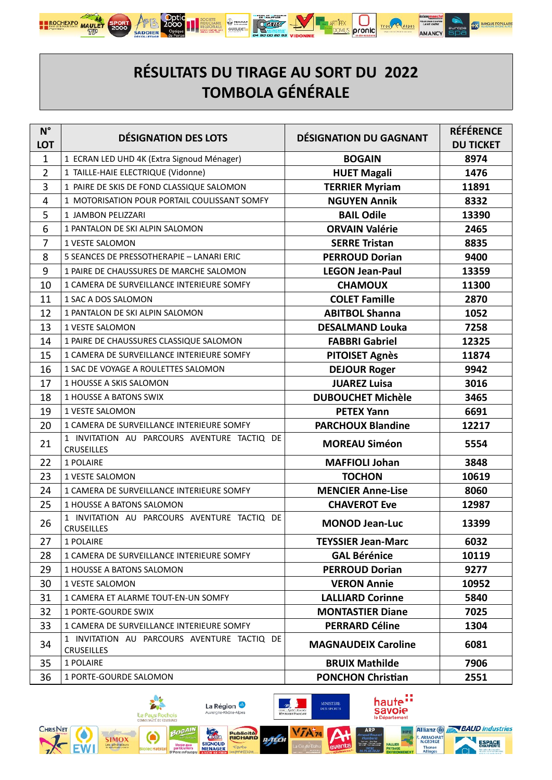

## RÉSULTATS DU TIRAGE AU SORT DU 2022 **TOMBOLA GÉNÉRALE**

| $N^{\circ}$<br><b>LOT</b> | <b>DÉSIGNATION DES LOTS</b>                                      | <b>DÉSIGNATION DU GAGNANT</b> | <b>RÉFÉRENCE</b><br><b>DU TICKET</b> |
|---------------------------|------------------------------------------------------------------|-------------------------------|--------------------------------------|
| 1                         | 1 ECRAN LED UHD 4K (Extra Signoud Ménager)                       | <b>BOGAIN</b>                 | 8974                                 |
| $\overline{2}$            | 1 TAILLE-HAIE ELECTRIQUE (Vidonne)                               | <b>HUET Magali</b>            | 1476                                 |
| 3                         | 1 PAIRE DE SKIS DE FOND CLASSIQUE SALOMON                        | <b>TERRIER Myriam</b>         | 11891                                |
| 4                         | 1 MOTORISATION POUR PORTAIL COULISSANT SOMFY                     | <b>NGUYEN Annik</b>           | 8332                                 |
| 5                         | 1 JAMBON PELIZZARI                                               | <b>BAIL Odile</b>             | 13390                                |
| 6                         | 1 PANTALON DE SKI ALPIN SALOMON                                  | <b>ORVAIN Valérie</b>         | 2465                                 |
| $\overline{7}$            | <b>1 VESTE SALOMON</b>                                           | <b>SERRE Tristan</b>          | 8835                                 |
| 8                         | 5 SEANCES DE PRESSOTHERAPIE - LANARI ERIC                        | <b>PERROUD Dorian</b>         | 9400                                 |
| 9                         | 1 PAIRE DE CHAUSSURES DE MARCHE SALOMON                          | <b>LEGON Jean-Paul</b>        | 13359                                |
| 10                        | 1 CAMERA DE SURVEILLANCE INTERIEURE SOMFY                        | <b>CHAMOUX</b>                | 11300                                |
| 11                        | 1 SAC A DOS SALOMON                                              | <b>COLET Famille</b>          | 2870                                 |
| 12                        | 1 PANTALON DE SKI ALPIN SALOMON                                  | <b>ABITBOL Shanna</b>         | 1052                                 |
| 13                        | 1 VESTE SALOMON                                                  | <b>DESALMAND Louka</b>        | 7258                                 |
| 14                        | 1 PAIRE DE CHAUSSURES CLASSIQUE SALOMON                          | <b>FABBRI Gabriel</b>         | 12325                                |
| 15                        | 1 CAMERA DE SURVEILLANCE INTERIEURE SOMFY                        | <b>PITOISET Agnès</b>         | 11874                                |
| 16                        | 1 SAC DE VOYAGE A ROULETTES SALOMON                              | <b>DEJOUR Roger</b>           | 9942                                 |
| 17                        | 1 HOUSSE A SKIS SALOMON                                          | <b>JUAREZ Luisa</b>           | 3016                                 |
| 18                        | <b>1 HOUSSE A BATONS SWIX</b>                                    | <b>DUBOUCHET Michèle</b>      | 3465                                 |
| 19                        | 1 VESTE SALOMON                                                  | <b>PETEX Yann</b>             | 6691                                 |
| 20                        | 1 CAMERA DE SURVEILLANCE INTERIEURE SOMFY                        | <b>PARCHOUX Blandine</b>      | 12217                                |
| 21                        | 1 INVITATION AU PARCOURS AVENTURE TACTIQ DE<br><b>CRUSEILLES</b> | <b>MOREAU Siméon</b>          | 5554                                 |
| 22                        | 1 POLAIRE                                                        | <b>MAFFIOLI Johan</b>         | 3848                                 |
| 23                        | 1 VESTE SALOMON                                                  | <b>TOCHON</b>                 | 10619                                |
| 24                        | 1 CAMERA DE SURVEILLANCE INTERIEURE SOMFY                        | <b>MENCIER Anne-Lise</b>      | 8060                                 |
| 25                        | 1 HOUSSE A BATONS SALOMON                                        | <b>CHAVEROT Eve</b>           | 12987                                |
| 26                        | 1 INVITATION AU PARCOURS AVENTURE TACTIQ DE<br><b>CRUSEILLES</b> | <b>MONOD Jean-Luc</b>         | 13399                                |
| 27                        | 1 POLAIRE                                                        | <b>TEYSSIER Jean-Marc</b>     | 6032                                 |
| 28                        | 1 CAMERA DE SURVEILLANCE INTERIEURE SOMFY                        | <b>GAL Bérénice</b>           | 10119                                |
| 29                        | 1 HOUSSE A BATONS SALOMON                                        | <b>PERROUD Dorian</b>         | 9277                                 |
| 30                        | 1 VESTE SALOMON                                                  | <b>VERON Annie</b>            | 10952                                |
| 31                        | 1 CAMERA ET ALARME TOUT-EN-UN SOMFY                              | <b>LALLIARD Corinne</b>       | 5840                                 |
| 32                        | <b>1 PORTE-GOURDE SWIX</b>                                       | <b>MONTASTIER Diane</b>       | 7025                                 |
| 33                        | 1 CAMERA DE SURVEILLANCE INTERIEURE SOMFY                        | <b>PERRARD Céline</b>         | 1304                                 |
| 34                        | 1 INVITATION AU PARCOURS AVENTURE TACTIO DE<br><b>CRUSEILLES</b> | <b>MAGNAUDEIX Caroline</b>    | 6081                                 |
| 35                        | 1 POLAIRE                                                        | <b>BRUIX Mathilde</b>         | 7906                                 |
| 36                        | 1 PORTE-GOURDE SALOMON                                           | <b>PONCHON Christian</b>      | 2551                                 |